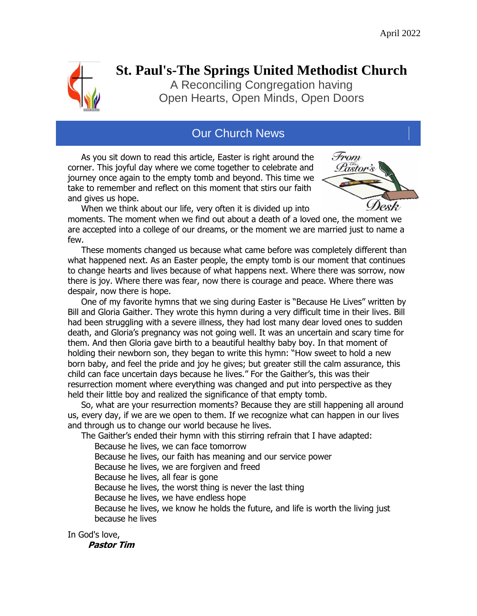

# **[St. Paul's-The Springs United Methodist Church](http://www.stevenspointumc.org/)**

A Reconciling Congregation having Open Hearts, Open Minds, Open Doors

## Our Church News

 As you sit down to read this article, Easter is right around the corner. This joyful day where we come together to celebrate and journey once again to the empty tomb and beyond. This time we take to remember and reflect on this moment that stirs our faith and gives us hope.



 When we think about our life, very often it is divided up into moments. The moment when we find out about a death of a loved one, the moment we are accepted into a college of our dreams, or the moment we are married just to name a few.

 These moments changed us because what came before was completely different than what happened next. As an Easter people, the empty tomb is our moment that continues to change hearts and lives because of what happens next. Where there was sorrow, now there is joy. Where there was fear, now there is courage and peace. Where there was despair, now there is hope.

 One of my favorite hymns that we sing during Easter is "Because He Lives" written by Bill and Gloria Gaither. They wrote this hymn during a very difficult time in their lives. Bill had been struggling with a severe illness, they had lost many dear loved ones to sudden death, and Gloria's pregnancy was not going well. It was an uncertain and scary time for them. And then Gloria gave birth to a beautiful healthy baby boy. In that moment of holding their newborn son, they began to write this hymn: "How sweet to hold a new born baby, and feel the pride and joy he gives; but greater still the calm assurance, this child can face uncertain days because he lives." For the Gaither's, this was their resurrection moment where everything was changed and put into perspective as they held their little boy and realized the significance of that empty tomb.

 So, what are your resurrection moments? Because they are still happening all around us, every day, if we are we open to them. If we recognize what can happen in our lives and through us to change our world because he lives.

The Gaither's ended their hymn with this stirring refrain that I have adapted:

Because he lives, we can face tomorrow

Because he lives, our faith has meaning and our service power

Because he lives, we are forgiven and freed

Because he lives, all fear is gone

Because he lives, the worst thing is never the last thing

Because he lives, we have endless hope

 Because he lives, we know he holds the future, and life is worth the living just because he lives

In God's love,  **Pastor Tim**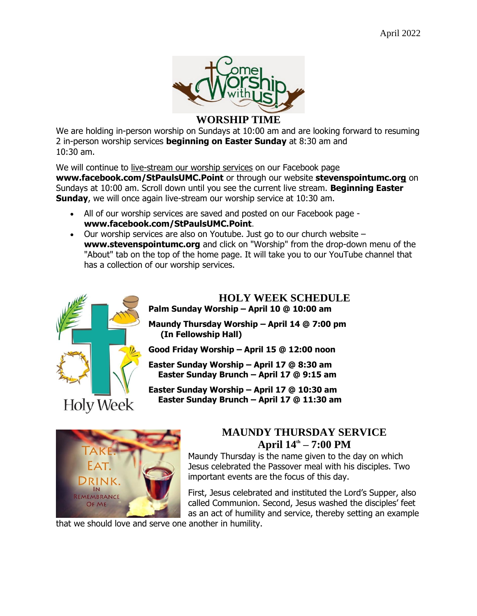

#### **WORSHIP TIME**

We are holding in-person worship on Sundays at 10:00 am and are looking forward to resuming 2 in-person worship services **beginning on Easter Sunday** at 8:30 am and 10:30 am.

We will continue to live-stream our worship services on our Facebook page **[www.facebook.com/StPaulsUMC.Point](https://www.facebook.com/StPaulsUMC.Point/?__tn__=K-R&eid=ARD1yBPNx4z52LcqYNnaIr7vrasuEcdCCZ6RrnD1B0gknAOw0c8ENXNq7DJqFJBJoG_d2IaL3KubMg7k&fref=mentions&__xts__%5B0%5D=68.ARCPyyxvqbgyYmuow61WUrRS4hJezzgtrgVVo1G_bNs7ezBnpd_9pk73k1hie40zCSwAUp_khmz2jyb5qHc5O0XmDFSl9pFVZYe-vNDzNXe48FzMQa1uxwqZ7J9HvaZH0DDr3IUb6pJfH3fXq58ViCjGdhuw7qr1iEO9XH6Zz9nZlBw2m2TPGTNC-davMJwxWKYWpzV1Vxdi0PVC2Ai6QmsqAElcxI2VktYOYamxo5-UfX1wD7PzWzPDmITUAnKtkEZ-I1sy9qUkw0QrsHi1MYVncx3XMbcN8vUx7Rl8VPNntPpiZMvHQ_JB9RbIT_Cbt6Wf2V5Zl8CluvgbYPZxw3PxWA)** or through our website **[stevenspointumc.org](http://www.stevenspointumc.org/)** on Sundays at 10:00 am. Scroll down until you see the current live stream. **Beginning Easter Sunday**, we will once again live-stream our worship service at 10:30 am.

- All of our worship services are saved and posted on our Facebook page **[www.facebook.com/StPaulsUMC.Point](https://www.facebook.com/StPaulsUMC.Point/?__tn__=K-R&eid=ARD1yBPNx4z52LcqYNnaIr7vrasuEcdCCZ6RrnD1B0gknAOw0c8ENXNq7DJqFJBJoG_d2IaL3KubMg7k&fref=mentions&__xts__%5B0%5D=68.ARCPyyxvqbgyYmuow61WUrRS4hJezzgtrgVVo1G_bNs7ezBnpd_9pk73k1hie40zCSwAUp_khmz2jyb5qHc5O0XmDFSl9pFVZYe-vNDzNXe48FzMQa1uxwqZ7J9HvaZH0DDr3IUb6pJfH3fXq58ViCjGdhuw7qr1iEO9XH6Zz9nZlBw2m2TPGTNC-davMJwxWKYWpzV1Vxdi0PVC2Ai6QmsqAElcxI2VktYOYamxo5-UfX1wD7PzWzPDmITUAnKtkEZ-I1sy9qUkw0QrsHi1MYVncx3XMbcN8vUx7Rl8VPNntPpiZMvHQ_JB9RbIT_Cbt6Wf2V5Zl8CluvgbYPZxw3PxWA)**.
- $\bullet$  Our worship services are also on Youtube. Just go to our church website  $$ **[www.stevenspointumc.org](http://www.stevenspointumc.org/)** and click on "Worship" from the drop-down menu of the "About" tab on the top of the home page. It will take you to our YouTube channel that has a collection of our worship services.



#### **HOLY WEEK SCHEDULE Palm Sunday Worship – April 10 @ 10:00 am**

**Maundy Thursday Worship – April 14 @ 7:00 pm (In Fellowship Hall)**

**Good Friday Worship – April 15 @ 12:00 noon**

**Easter Sunday Worship – April 17 @ 8:30 am Easter Sunday Brunch – April 17 @ 9:15 am**

**Easter Sunday Worship – April 17 @ 10:30 am Easter Sunday Brunch – April 17 @ 11:30 am**



## **MAUNDY THURSDAY SERVICE April 14th – 7:00 PM**

Maundy Thursday is the name given to the day on which Jesus celebrated the Passover meal with his disciples. Two important events are the focus of this day.

First, Jesus celebrated and instituted the Lord's Supper, also called Communion. Second, Jesus washed the disciples' feet as an act of humility and service, thereby setting an example

that we should love and serve one another in humility.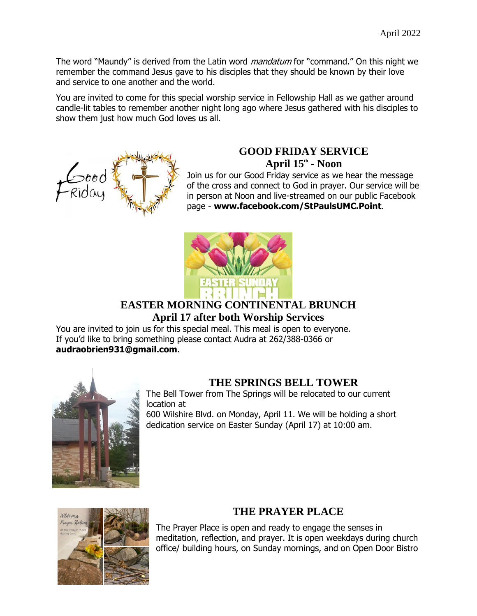The word "Maundy" is derived from the Latin word *mandatum* for "command." On this night we remember the command Jesus gave to his disciples that they should be known by their love and service to one another and the world.

You are invited to come for this special worship service in Fellowship Hall as we gather around candle-lit tables to remember another night long ago where Jesus gathered with his disciples to show them just how much God loves us all.



# **GOOD FRIDAY SERVICE**

**April 15th - Noon**

Join us for our Good Friday service as we hear the message of the cross and connect to God in prayer. Our service will be in person at Noon and live-streamed on our public Facebook page - **[www.facebook.com/StPaulsUMC.Point](http://www.facebook.com/StPaulsUMC.Point)**.



## **EASTER MORNING CONTINENTAL BRUNCH April 17 after both Worship Services**

You are invited to join us for this special meal. This meal is open to everyone. If you'd like to bring something please contact Audra at 262/388-0366 or **[audraobrien931@gmail.com](mailto:audraobrien931@gmail.com)**.



## **THE SPRINGS BELL TOWER**

The Bell Tower from The Springs will be relocated to our current location at

600 Wilshire Blvd. on Monday, April 11. We will be holding a short dedication service on Easter Sunday (April 17) at 10:00 am.



## **THE PRAYER PLACE**

The Prayer Place is open and ready to engage the senses in meditation, reflection, and prayer. It is open weekdays during church office/ building hours, on Sunday mornings, and on Open Door Bistro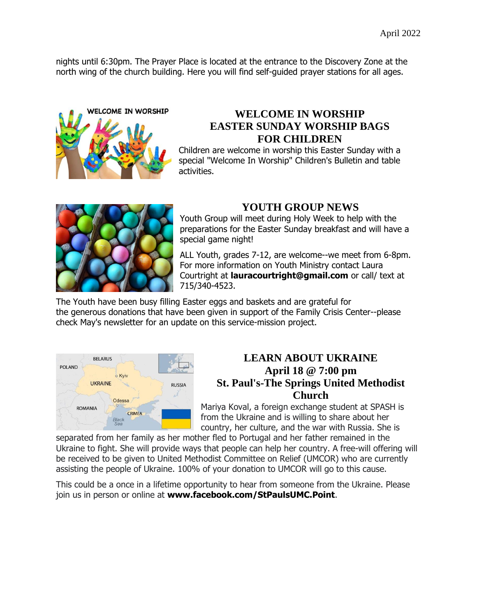nights until 6:30pm. The Prayer Place is located at the entrance to the Discovery Zone at the north wing of the church building. Here you will find self-guided prayer stations for all ages.



### **WELCOME IN WORSHIP EASTER SUNDAY WORSHIP BAGS FOR CHILDREN**

Children are welcome in worship this Easter Sunday with a special "Welcome In Worship" Children's Bulletin and table activities.



### **YOUTH GROUP NEWS**

Youth Group will meet during Holy Week to help with the preparations for the Easter Sunday breakfast and will have a special game night!

ALL Youth, grades 7-12, are welcome--we meet from 6-8pm. For more information on Youth Ministry contact Laura Courtright at **[lauracourtright@gmail.com](mailto:lauracourtright@gmail.com)** or call/ text at 715/340-4523.

The Youth have been busy filling Easter eggs and baskets and are grateful for the generous donations that have been given in support of the Family Crisis Center--please check May's newsletter for an update on this service-mission project.



### **LEARN ABOUT UKRAINE April 18 @ 7:00 pm St. Paul's-The Springs United Methodist Church**

Mariya Koval, a foreign exchange student at SPASH is from the Ukraine and is willing to share about her country, her culture, and the war with Russia. She is

separated from her family as her mother fled to Portugal and her father remained in the Ukraine to fight. She will provide ways that people can help her country. A free-will offering will be received to be given to United Methodist Committee on Relief (UMCOR) who are currently assisting the people of Ukraine. 100% of your donation to UMCOR will go to this cause.

This could be a once in a lifetime opportunity to hear from someone from the Ukraine. Please join us in person or online at **[www.facebook.com/StPaulsUMC.Point](http://www.facebook.com/StPaulsUMC.Point)**.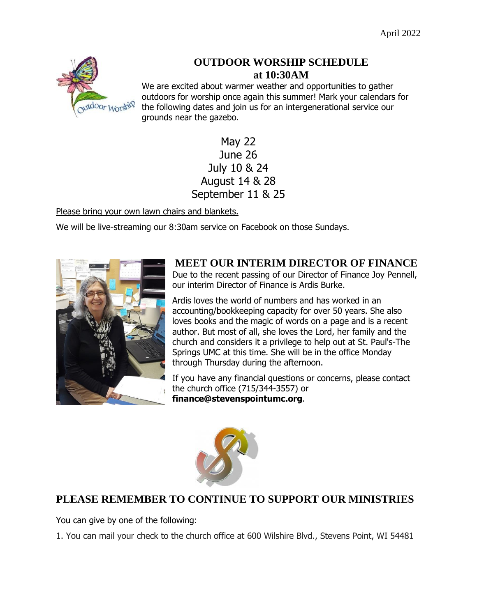

### **OUTDOOR WORSHIP SCHEDULE at 10:30AM**

We are excited about warmer weather and opportunities to gather outdoors for worship once again this summer! Mark your calendars for the following dates and join us for an intergenerational service our grounds near the gazebo.

## May 22 June 26 July 10 & 24 August 14 & 28 September 11 & 25

Please bring your own lawn chairs and blankets.

We will be live-streaming our 8:30am service on Facebook on those Sundays.



# **MEET OUR INTERIM DIRECTOR OF FINANCE**

Due to the recent passing of our Director of Finance Joy Pennell, our interim Director of Finance is Ardis Burke.

Ardis loves the world of numbers and has worked in an accounting/bookkeeping capacity for over 50 years. She also loves books and the magic of words on a page and is a recent author. But most of all, she loves the Lord, her family and the church and considers it a privilege to help out at St. Paul's-The Springs UMC at this time. She will be in the office Monday through Thursday during the afternoon.

If you have any financial questions or concerns, please contact the church office (715/344-3557) or **[finance@stevenspointumc.org](mailto:finance@stevenspointumc.org)**.



## **PLEASE REMEMBER TO CONTINUE TO SUPPORT OUR MINISTRIES**

You can give by one of the following:

1. You can mail your check to the church office at 600 Wilshire Blvd., Stevens Point, WI 54481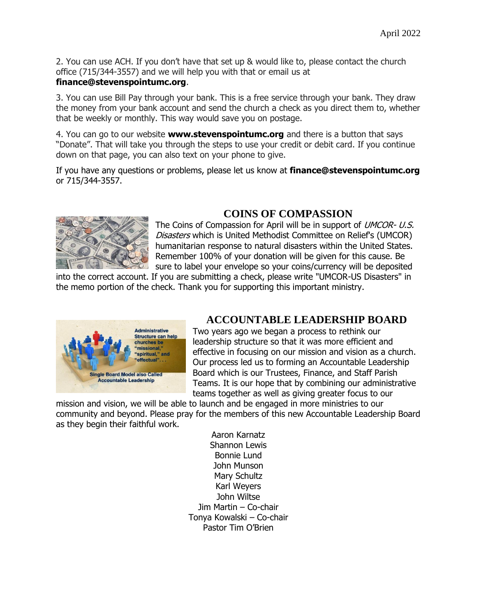2. You can use ACH. If you don't have that set up & would like to, please contact the church office (715/344-3557) and we will help you with that or email us at

#### **[finance@stevenspointumc.org](mailto:finance@stevenspointumc.org)**.

3. You can use Bill Pay through your bank. This is a free service through your bank. They draw the money from your bank account and send the church a check as you direct them to, whether that be weekly or monthly. This way would save you on postage.

4. You can go to our website **[www.stevenspointumc.org](http://www.stevenspointumc.org/)** and there is a button that says "Donate". That will take you through the steps to use your credit or debit card. If you continue down on that page, you can also text on your phone to give.

If you have any questions or problems, please let us know at **[finance@stevenspointumc.org](http://finance@stevenspointumc.org/)** or 715/344-3557.



## **COINS OF COMPASSION**

The Coins of Compassion for April will be in support of *UMCOR- U.S.* Disasters which is United Methodist Committee on Relief's (UMCOR) humanitarian response to natural disasters within the United States. Remember 100% of your donation will be given for this cause. Be sure to label your envelope so your coins/currency will be deposited

into the correct account. If you are submitting a check, please write "UMCOR-US Disasters" in the memo portion of the check. Thank you for supporting this important ministry.



### **ACCOUNTABLE LEADERSHIP BOARD**

Two years ago we began a process to rethink our leadership structure so that it was more efficient and effective in focusing on our mission and vision as a church. Our process led us to forming an Accountable Leadership Board which is our Trustees, Finance, and Staff Parish Teams. It is our hope that by combining our administrative teams together as well as giving greater focus to our

mission and vision, we will be able to launch and be engaged in more ministries to our community and beyond. Please pray for the members of this new Accountable Leadership Board as they begin their faithful work.

Aaron Karnatz Shannon Lewis Bonnie Lund John Munson Mary Schultz Karl Weyers John Wiltse Jim Martin – Co-chair Tonya Kowalski – Co-chair Pastor Tim O'Brien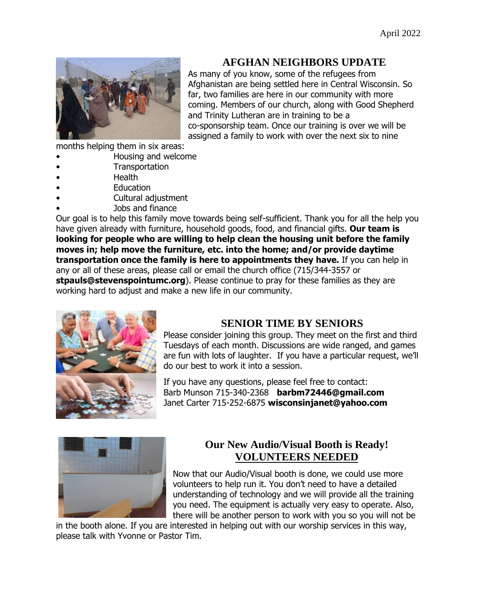

### **AFGHAN NEIGHBORS UPDATE**

As many of you know, some of the refugees from Afghanistan are being settled here in Central Wisconsin. So far, two families are here in our community with more coming. Members of our church, along with Good Shepherd and Trinity Lutheran are in training to be a co-sponsorship team. Once our training is over we will be assigned a family to work with over the next six to nine

months helping them in six areas:

- Housing and welcome
- **Transportation**
- Health
- **Education**
- Cultural adjustment
- Jobs and finance

Our goal is to help this family move towards being self-sufficient. Thank you for all the help you have given already with furniture, household goods, food, and financial gifts. **Our team is looking for people who are willing to help clean the housing unit before the family moves in; help move the furniture, etc. into the home; and/or provide daytime transportation once the family is here to appointments they have.** If you can help in any or all of these areas, please call or email the church office (715/344-3557 or **[stpauls@stevenspointumc.org](mailto:stpauls@stevenspointumc.org)**[\).](mailto:stpauls@stevenspointumc.org) Please continue to pray for these families as they are working hard to adjust and make a new life in our community.



## **SENIOR TIME BY SENIORS**

Please consider joining this group. They meet on the first and third Tuesdays of each month. Discussions are wide ranged, and games are fun with lots of laughter. If you have a particular request, we'll do our best to work it into a session.

If you have any questions, please feel free to contact: Barb Munson 715-340-2368 **[barbm72446@gmail.com](mailto:barbm72446@gmail.com)** Janet Carter 715-252-6875 **[wisconsinjanet@yahoo.com](mailto:wisconsinjanet@yahoo.com)**



## **Our New Audio/Visual Booth is Ready! VOLUNTEERS NEEDED**

Now that our Audio/Visual booth is done, we could use more volunteers to help run it. You don't need to have a detailed understanding of technology and we will provide all the training you need. The equipment is actually very easy to operate. Also, there will be another person to work with you so you will not be

in the booth alone. If you are interested in helping out with our worship services in this way, please talk with Yvonne or Pastor Tim.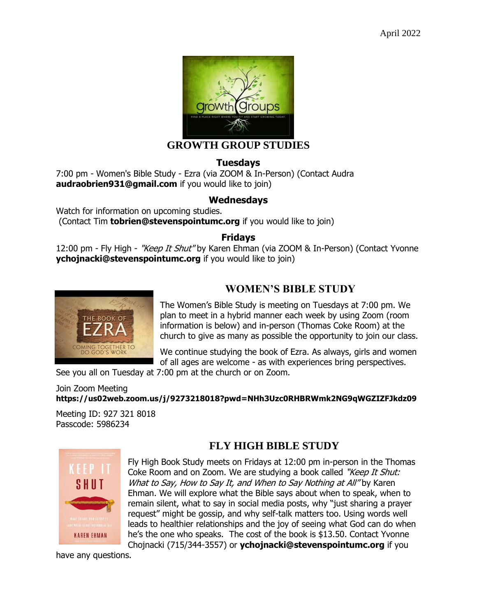

#### **GROWTH GROUP STUDIES**

#### **Tuesdays**

7:00 pm - Women's Bible Study - Ezra (via ZOOM & In-Person) (Contact Audra **[audraobrien931@gmail.com](mailto:audraobrien931@gmail.com)** if you would like to join)

#### **Wednesdays**

Watch for information on upcoming studies. (Contact Tim **[tobrien@stevenspointumc.org](mailto:tobrien@stevenspointumc.org)** if you would like to join)

#### **Fridays**

12:00 pm - Fly High - "Keep It Shut" by Karen Ehman (via ZOOM & In-Person) (Contact Yvonne **[ychojnacki@stevenspointumc.org](mailto:ychojnacki@stevenspointumc.org)** if you would like to join)



### **WOMEN'S BIBLE STUDY**

The Women's Bible Study is meeting on Tuesdays at 7:00 pm. We plan to meet in a hybrid manner each week by using Zoom (room information is below) and in-person (Thomas Coke Room) at the church to give as many as possible the opportunity to join our class.

We continue studying the book of Ezra. As always, girls and women of all ages are welcome - as with experiences bring perspectives.

See you all on Tuesday at 7:00 pm at the church or on Zoom.

Join Zoom Meeting **<https://us02web.zoom.us/j/9273218018?pwd=NHh3Uzc0RHBRWmk2NG9qWGZIZFJkdz09>**

Meeting ID: 927 321 8018 Passcode: 5986234



## **FLY HIGH BIBLE STUDY**

Fly High Book Study meets on Fridays at 12:00 pm in-person in the Thomas Coke Room and on Zoom. We are studying a book called "Keep It Shut: What to Say, How to Say It, and When to Say Nothing at All" by Karen Ehman. We will explore what the Bible says about when to speak, when to remain silent, what to say in social media posts, why "just sharing a prayer request" might be gossip, and why self-talk matters too. Using words well leads to healthier relationships and the joy of seeing what God can do when he's the one who speaks. The cost of the book is \$13.50. Contact Yvonne Chojnacki (715/344-3557) or **[ychojnacki@stevenspointumc.org](mailto:ychojnacki@stevenspointumc.org)** if you

have any questions.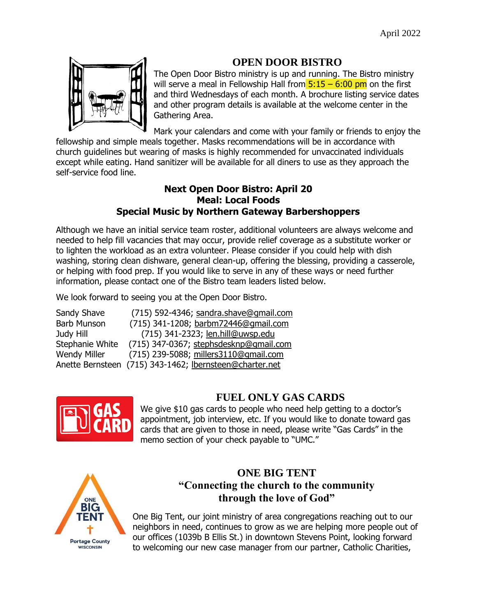### **OPEN DOOR BISTRO**



The Open Door Bistro ministry is up and running. The Bistro ministry will serve a meal in Fellowship Hall from  $5:15 - 6:00$  pm on the first and third Wednesdays of each month. A brochure listing service dates and other program details is available at the welcome center in the Gathering Area.

Mark your calendars and come with your family or friends to enjoy the fellowship and simple meals together. Masks recommendations will be in accordance with church guidelines but wearing of masks is highly recommended for unvaccinated individuals except while eating. Hand sanitizer will be available for all diners to use as they approach the self-service food line.

#### **Next Open Door Bistro: April 20 Meal: Local Foods Special Music by Northern Gateway Barbershoppers**

Although we have an initial service team roster, additional volunteers are always welcome and needed to help fill vacancies that may occur, provide relief coverage as a substitute worker or to lighten the workload as an extra volunteer. Please consider if you could help with dish washing, storing clean dishware, general clean-up, offering the blessing, providing a casserole, or helping with food prep. If you would like to serve in any of these ways or need further information, please contact one of the Bistro team leaders listed below.

We look forward to seeing you at the Open Door Bistro.

| Sandy Shave         | (715) 592-4346; sandra.shave@gmail.com                  |
|---------------------|---------------------------------------------------------|
| <b>Barb Munson</b>  | (715) 341-1208; barbm72446@gmail.com                    |
| Judy Hill           | (715) 341-2323; len.hill@uwsp.edu                       |
| Stephanie White     | (715) 347-0367; stephsdesknp@gmail.com                  |
| <b>Wendy Miller</b> | (715) 239-5088; millers3110@gmail.com                   |
|                     | Anette Bernsteen (715) 343-1462; lbernsteen@charter.net |



### **FUEL ONLY GAS CARDS**

We give \$10 gas cards to people who need help getting to a doctor's appointment, job interview, etc. If you would like to donate toward gas cards that are given to those in need, please write "Gas Cards" in the memo section of your check payable to "UMC."



### **ONE BIG TENT "Connecting the church to the community through the love of God"**

One Big Tent, our joint ministry of area congregations reaching out to our neighbors in need, continues to grow as we are helping more people out of our offices (1039b B Ellis St.) in downtown Stevens Point, looking forward to welcoming our new case manager from our partner, Catholic Charities,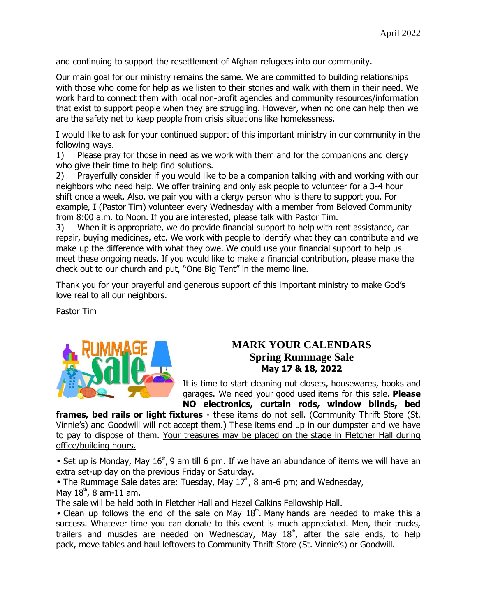and continuing to support the resettlement of Afghan refugees into our community.

Our main goal for our ministry remains the same. We are committed to building relationships with those who come for help as we listen to their stories and walk with them in their need. We work hard to connect them with local non-profit agencies and community resources/information that exist to support people when they are struggling. However, when no one can help then we are the safety net to keep people from crisis situations like homelessness.

I would like to ask for your continued support of this important ministry in our community in the following ways.

1) Please pray for those in need as we work with them and for the companions and clergy who give their time to help find solutions.

2) Prayerfully consider if you would like to be a companion talking with and working with our neighbors who need help. We offer training and only ask people to volunteer for a 3-4 hour shift once a week. Also, we pair you with a clergy person who is there to support you. For example, I (Pastor Tim) volunteer every Wednesday with a member from Beloved Community from 8:00 a.m. to Noon. If you are interested, please talk with Pastor Tim.

3) When it is appropriate, we do provide financial support to help with rent assistance, car repair, buying medicines, etc. We work with people to identify what they can contribute and we make up the difference with what they owe. We could use your financial support to help us meet these ongoing needs. If you would like to make a financial contribution, please make the check out to our church and put, "One Big Tent" in the memo line.

Thank you for your prayerful and generous support of this important ministry to make God's love real to all our neighbors.

Pastor Tim



### **MARK YOUR CALENDARS Spring Rummage Sale May 17 & 18, 2022**

It is time to start cleaning out closets, housewares, books and garages. We need your good used items for this sale. **Please NO electronics, curtain rods, window blinds, bed** 

**frames, bed rails or light fixtures** - these items do not sell. (Community Thrift Store (St. Vinnie's) and Goodwill will not accept them.) These items end up in our dumpster and we have to pay to dispose of them. Your treasures may be placed on the stage in Fletcher Hall during office/building hours.

• Set up is Monday, May  $16^{\circ}$ , 9 am till 6 pm. If we have an abundance of items we will have an extra set-up day on the previous Friday or Saturday.

• The Rummage Sale dates are: Tuesday, May  $17<sup>th</sup>$ , 8 am-6 pm; and Wednesday, May  $18^{\text{th}}$ , 8 am-11 am.

The sale will be held both in Fletcher Hall and Hazel Calkins Fellowship Hall.

• Clean up follows the end of the sale on May  $18<sup>th</sup>$ . Many hands are needed to make this a success. Whatever time you can donate to this event is much appreciated. Men, their trucks, trailers and muscles are needed on Wednesday, May  $18<sup>th</sup>$ , after the sale ends, to help pack, move tables and haul leftovers to Community Thrift Store (St. Vinnie's) or Goodwill.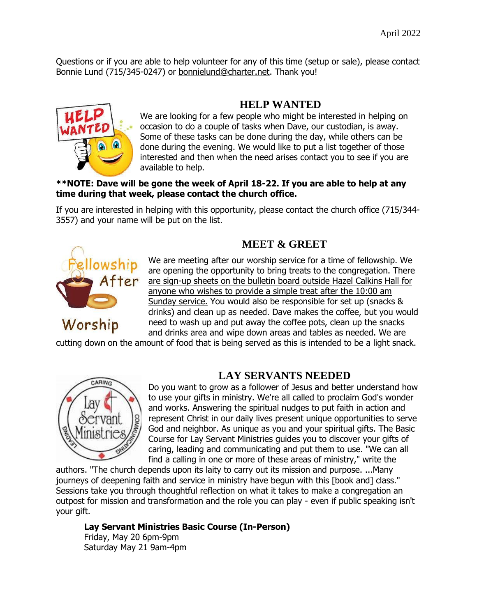Questions or if you are able to help volunteer for any of this time (setup or sale), please contact Bonnie Lund (715/345-0247) or bonnielund@charter.net. Thank you!



### **HELP WANTED**

We are looking for a few people who might be interested in helping on occasion to do a couple of tasks when Dave, our custodian, is away. Some of these tasks can be done during the day, while others can be done during the evening. We would like to put a list together of those interested and then when the need arises contact you to see if you are available to help.

#### **\*\*NOTE: Dave will be gone the week of April 18-22. If you are able to help at any time during that week, please contact the church office.**

If you are interested in helping with this opportunity, please contact the church office (715/344- 3557) and your name will be put on the list.



### **MEET & GREET**

We are meeting after our worship service for a time of fellowship. We are opening the opportunity to bring treats to the congregation. There are sign-up sheets on the bulletin board outside Hazel Calkins Hall for anyone who wishes to provide a simple treat after the 10:00 am Sunday service. You would also be responsible for set up (snacks & drinks) and clean up as needed. Dave makes the coffee, but you would need to wash up and put away the coffee pots, clean up the snacks and drinks area and wipe down areas and tables as needed. We are

cutting down on the amount of food that is being served as this is intended to be a light snack.



### **LAY SERVANTS NEEDED**

Do you want to grow as a follower of Jesus and better understand how to use your gifts in ministry. We're all called to proclaim God's wonder and works. Answering the spiritual nudges to put faith in action and represent Christ in our daily lives present unique opportunities to serve God and neighbor. As unique as you and your spiritual gifts. The Basic Course for Lay Servant Ministries guides you to discover your gifts of caring, leading and communicating and put them to use. "We can all find a calling in one or more of these areas of ministry," write the

authors. "The church depends upon its laity to carry out its mission and purpose. ...Many journeys of deepening faith and service in ministry have begun with this [book and] class." Sessions take you through thoughtful reflection on what it takes to make a congregation an outpost for mission and transformation and the role you can play - even if public speaking isn't your gift.

**Lay Servant Ministries Basic Course (In-Person)** Friday, May 20 6pm-9pm Saturday May 21 9am-4pm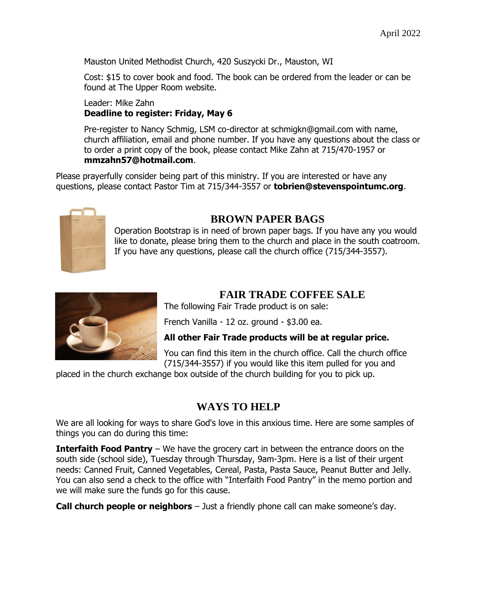Mauston United Methodist Church, 420 Suszycki Dr., Mauston, WI

Cost: \$15 to cover book and food. The book can be ordered from the leader or can be found at The Upper Room website.

#### Leader: Mike Zahn **Deadline to register: Friday, May 6**

Pre-register to Nancy Schmig, LSM co-director at schmigkn@gmail.com with name, church affiliation, email and phone number. If you have any questions about the class or to order a print copy of the book, please contact Mike Zahn at 715/470-1957 or **mmzahn57@hotmail.com**.

Please prayerfully consider being part of this ministry. If you are interested or have any questions, please contact Pastor Tim at 715/344-3557 or **[tobrien@stevenspointumc.org](mailto:tobrien@stevenspointumc.org)**.



### **BROWN PAPER BAGS**

Operation Bootstrap is in need of brown paper bags. If you have any you would like to donate, please bring them to the church and place in the south coatroom. If you have any questions, please call the church office (715/344-3557).



### **FAIR TRADE COFFEE SALE**

The following Fair Trade product is on sale:

French Vanilla - 12 oz. ground - \$3.00 ea.

#### **All other Fair Trade products will be at regular price.**

You can find this item in the church office. Call the church office (715/344-3557) if you would like this item pulled for you and

placed in the church exchange box outside of the church building for you to pick up.

### **WAYS TO HELP**

We are all looking for ways to share God's love in this anxious time. Here are some samples of things you can do during this time:

**Interfaith Food Pantry** – We have the grocery cart in between the entrance doors on the south side (school side), Tuesday through Thursday, 9am-3pm. Here is a list of their urgent needs: Canned Fruit, Canned Vegetables, Cereal, Pasta, Pasta Sauce, Peanut Butter and Jelly. You can also send a check to the office with "Interfaith Food Pantry" in the memo portion and we will make sure the funds go for this cause.

**Call church people or neighbors** – Just a friendly phone call can make someone's day.